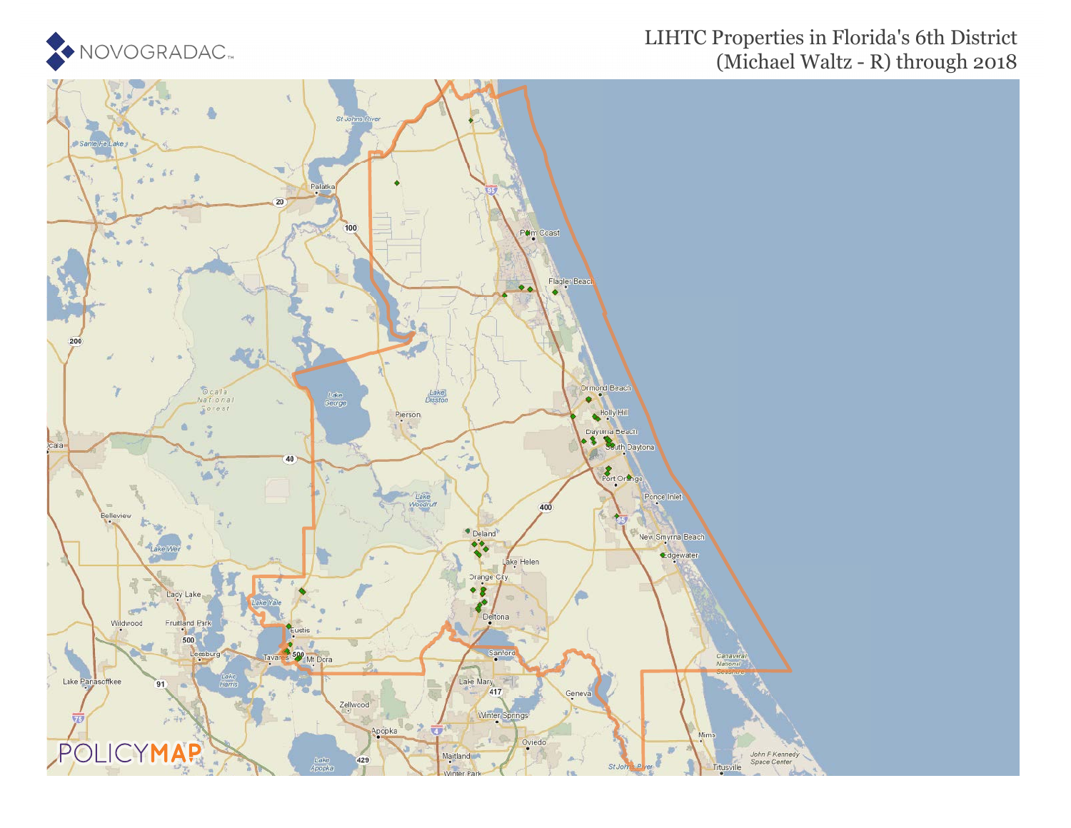

### LIHTC Properties in Florida's 6th District (Michael Waltz - R) through 2018

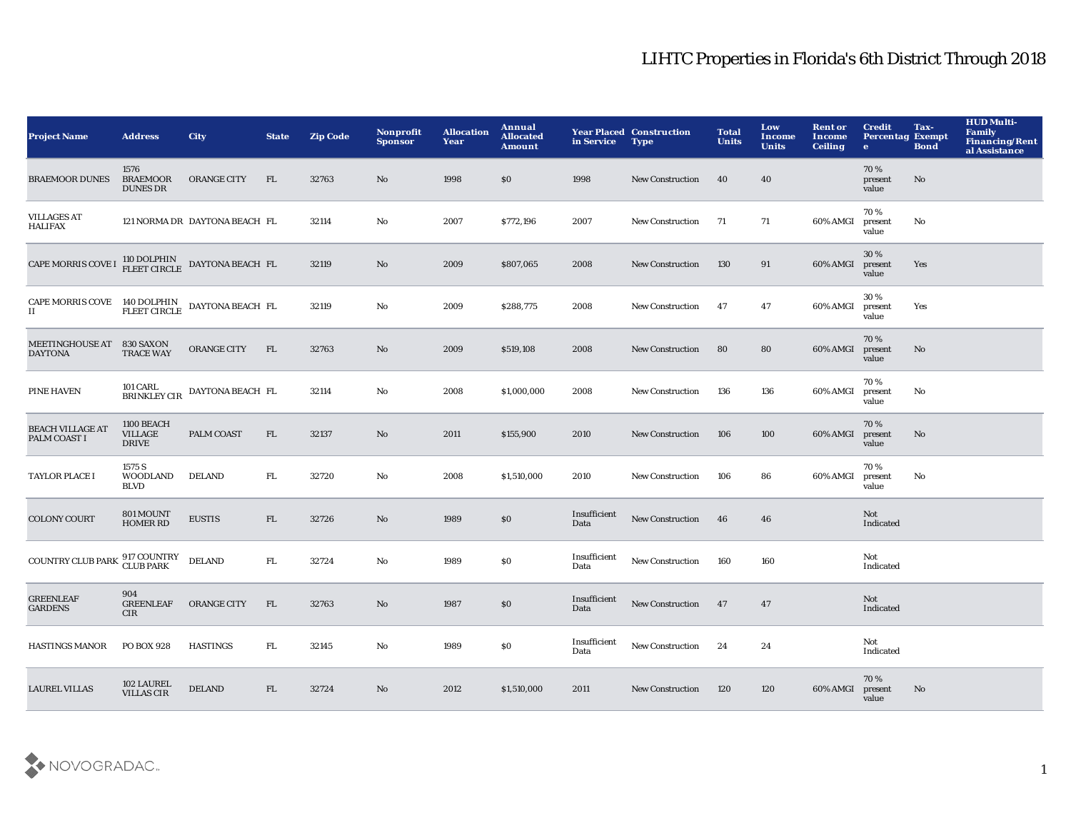| <b>Project Name</b>                                                                                                                 | <b>Address</b>                               | City                          | <b>State</b> | <b>Zip Code</b> | Nonprofit<br><b>Sponsor</b> | <b>Allocation</b><br>Year | Annual<br><b>Allocated</b><br><b>Amount</b> | in Service           | <b>Year Placed Construction</b><br><b>Type</b> | <b>Total</b><br><b>Units</b> | Low<br><b>Income</b><br><b>Units</b> | <b>Rent or</b><br>Income<br><b>Ceiling</b> | <b>Credit</b><br><b>Percentag Exempt</b><br>$\bullet$ | Tax-<br><b>Bond</b> | <b>HUD Multi-</b><br><b>Family</b><br><b>Financing/Rent</b><br>al Assistance |
|-------------------------------------------------------------------------------------------------------------------------------------|----------------------------------------------|-------------------------------|--------------|-----------------|-----------------------------|---------------------------|---------------------------------------------|----------------------|------------------------------------------------|------------------------------|--------------------------------------|--------------------------------------------|-------------------------------------------------------|---------------------|------------------------------------------------------------------------------|
| <b>BRAEMOOR DUNES</b>                                                                                                               | 1576<br><b>BRAEMOOR</b><br><b>DUNES DR</b>   | <b>ORANGE CITY</b>            | FL.          | 32763           | No                          | 1998                      | \$0                                         | 1998                 | <b>New Construction</b>                        | 40                           | 40                                   |                                            | 70%<br>present<br>value                               | No                  |                                                                              |
| <b>VILLAGES AT</b><br><b>HALIFAX</b>                                                                                                |                                              | 121 NORMA DR DAYTONA BEACH FL |              | 32114           | No                          | 2007                      | \$772,196                                   | 2007                 | <b>New Construction</b>                        | 71                           | 71                                   | 60% AMGI                                   | 70%<br>present<br>value                               | No                  |                                                                              |
| CAPE MORRIS COVE I $\frac{110 \text{ DOLPHIN}}{\text{FLEET CIRCLE}}$ DAYTONA BEACH FL                                               |                                              |                               |              | 32119           | No                          | 2009                      | \$807,065                                   | 2008                 | <b>New Construction</b>                        | 130                          | 91                                   | 60% AMGI                                   | 30%<br>present<br>value                               | Yes                 |                                                                              |
| $\begin{tabular}{ll} \bf{CAPE} \bf{MORRIS} \text{ COVE} & 140 \text{ DOLPHIN} \\ \bf{II} & \bf{FLEET} \text{ CIRCLE} \end{tabular}$ |                                              | DAYTONA BEACH FL              |              | 32119           | No                          | 2009                      | \$288,775                                   | 2008                 | <b>New Construction</b>                        | -47                          | 47                                   | 60% AMGI                                   | 30%<br>present<br>value                               | Yes                 |                                                                              |
| <b>MEETINGHOUSE AT</b><br><b>DAYTONA</b>                                                                                            | 830 SAXON<br><b>TRACE WAY</b>                | <b>ORANGE CITY</b>            | FL.          | 32763           | No                          | 2009                      | \$519,108                                   | 2008                 | <b>New Construction</b>                        | 80                           | 80                                   | 60% AMGI                                   | 70%<br>present<br>value                               | No.                 |                                                                              |
| <b>PINE HAVEN</b>                                                                                                                   | 101 CARL<br>BRINKLEY CIR                     | DAYTONA BEACH FL              |              | 32114           | No                          | 2008                      | \$1,000,000                                 | 2008                 | <b>New Construction</b>                        | 136                          | 136                                  | 60% AMGI                                   | 70%<br>present<br>value                               | No                  |                                                                              |
| <b>BEACH VILLAGE AT</b><br>PALM COAST I                                                                                             | 1100 BEACH<br><b>VILLAGE</b><br><b>DRIVE</b> | PALM COAST                    | FL.          | 32137           | $\mathbf{N}\mathbf{o}$      | 2011                      | \$155,900                                   | 2010                 | <b>New Construction</b>                        | 106                          | 100                                  | 60% AMGI                                   | 70%<br>present<br>value                               | No.                 |                                                                              |
| <b>TAYLOR PLACE I</b>                                                                                                               | 1575 S<br><b>WOODLAND</b><br><b>BLVD</b>     | <b>DELAND</b>                 | FL.          | 32720           | No                          | 2008                      | \$1,510,000                                 | 2010                 | <b>New Construction</b>                        | 106                          | 86                                   | 60% AMGI                                   | 70%<br>present<br>value                               | No                  |                                                                              |
| <b>COLONY COURT</b>                                                                                                                 | 801 MOUNT<br><b>HOMER RD</b>                 | <b>EUSTIS</b>                 | FL           | 32726           | No                          | 1989                      | \$0                                         | Insufficient<br>Data | <b>New Construction</b>                        | 46                           | 46                                   |                                            | Not<br>Indicated                                      |                     |                                                                              |
| <b>COUNTRY CLUB PARK</b>                                                                                                            | 917 COUNTRY<br>CLUB PARK                     | <b>DELAND</b>                 | FL.          | 32724           | No                          | 1989                      | $\$0$                                       | Insufficient<br>Data | <b>New Construction</b>                        | 160                          | 160                                  |                                            | Not<br>Indicated                                      |                     |                                                                              |
| <b>GREENLEAF</b><br><b>GARDENS</b>                                                                                                  | 904<br><b>GREENLEAF</b><br>CIR               | <b>ORANGE CITY</b>            | FL.          | 32763           | No                          | 1987                      | \$0                                         | Insufficient<br>Data | <b>New Construction</b>                        | 47                           | 47                                   |                                            | Not<br>Indicated                                      |                     |                                                                              |
| <b>HASTINGS MANOR</b>                                                                                                               | PO BOX 928                                   | <b>HASTINGS</b>               | FL           | 32145           | No                          | 1989                      | <b>SO</b>                                   | Insufficient<br>Data | <b>New Construction</b>                        | 24                           | 24                                   |                                            | Not<br>Indicated                                      |                     |                                                                              |
| <b>LAUREL VILLAS</b>                                                                                                                | 102 LAUREL<br><b>VILLAS CIR</b>              | <b>DELAND</b>                 | FL           | 32724           | No                          | 2012                      | \$1,510,000                                 | 2011                 | <b>New Construction</b>                        | 120                          | 120                                  | 60% AMGI                                   | 70%<br>present<br>value                               | No                  |                                                                              |

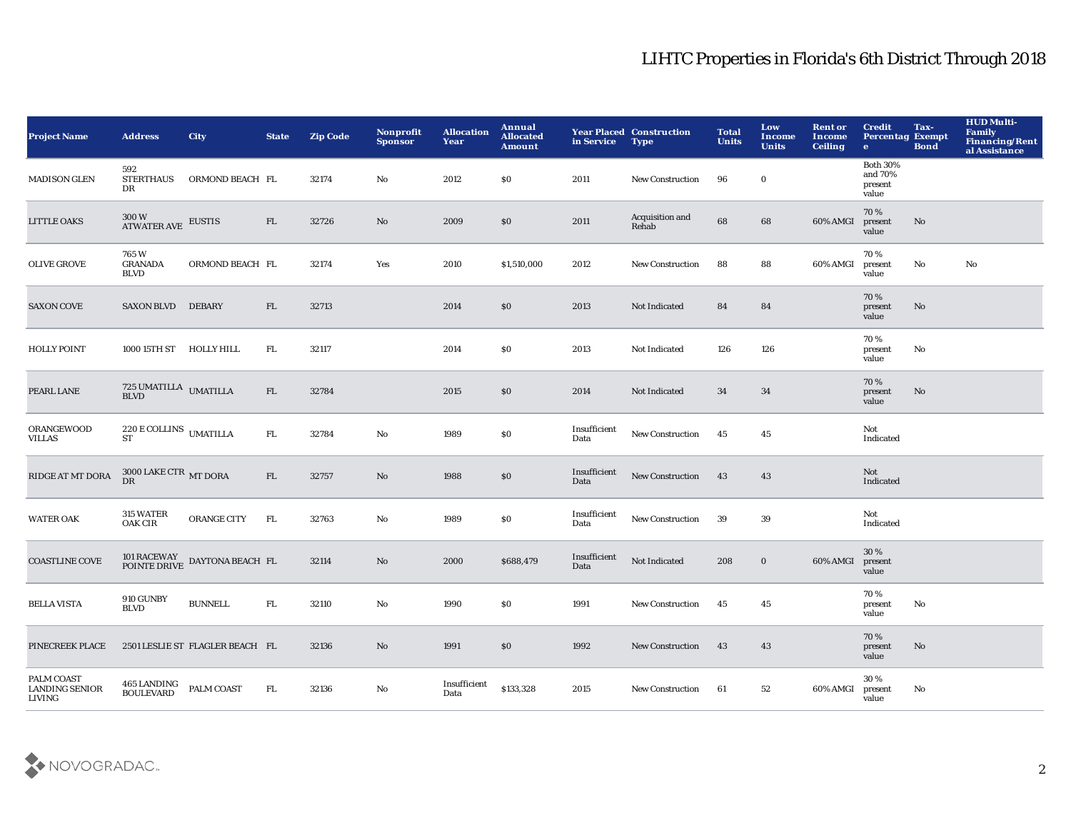| <b>Project Name</b>                                  | <b>Address</b>                                            | <b>City</b>                                                            | <b>State</b> | <b>Zip Code</b> | Nonprofit<br><b>Sponsor</b> | <b>Allocation</b><br>Year | Annual<br><b>Allocated</b><br><b>Amount</b> | in Service           | <b>Year Placed Construction</b><br><b>Type</b> | <b>Total</b><br><b>Units</b> | Low<br><b>Income</b><br><b>Units</b> | <b>Rent or</b><br><b>Income</b><br><b>Ceiling</b> | <b>Credit</b><br><b>Percentag Exempt</b><br>$\bullet$ | Tax-<br><b>Bond</b> | <b>HUD Multi-</b><br>Family<br><b>Financing/Rent</b><br>al Assistance |
|------------------------------------------------------|-----------------------------------------------------------|------------------------------------------------------------------------|--------------|-----------------|-----------------------------|---------------------------|---------------------------------------------|----------------------|------------------------------------------------|------------------------------|--------------------------------------|---------------------------------------------------|-------------------------------------------------------|---------------------|-----------------------------------------------------------------------|
| <b>MADISON GLEN</b>                                  | 592<br><b>STERTHAUS</b><br>DR                             | ORMOND BEACH FL                                                        |              | 32174           | No                          | 2012                      | <b>SO</b>                                   | 2011                 | New Construction                               | 96                           | $\mathbf 0$                          |                                                   | <b>Both 30%</b><br>and 70%<br>present<br>value        |                     |                                                                       |
| <b>LITTLE OAKS</b>                                   | 300 W<br>ATWATER AVE                                      | <b>EUSTIS</b>                                                          | ${\rm FL}$   | 32726           | No                          | 2009                      | \$0                                         | 2011                 | Acquisition and<br>Rehab                       | 68                           | 68                                   | 60% AMGI                                          | 70%<br>present<br>value                               | No                  |                                                                       |
| <b>OLIVE GROVE</b>                                   | 765W<br><b>GRANADA</b><br><b>BLVD</b>                     | ORMOND BEACH FL                                                        |              | 32174           | Yes                         | 2010                      | \$1,510,000                                 | 2012                 | New Construction                               | 88                           | 88                                   | 60% AMGI                                          | 70%<br>present<br>value                               | No                  | $\mathbf{N}\mathbf{o}$                                                |
| <b>SAXON COVE</b>                                    | <b>SAXON BLVD</b>                                         | <b>DEBARY</b>                                                          | FL           | 32713           |                             | 2014                      | \$0                                         | 2013                 | Not Indicated                                  | 84                           | 84                                   |                                                   | 70%<br>present<br>value                               | No                  |                                                                       |
| <b>HOLLY POINT</b>                                   | 1000 15TH ST HOLLY HILL                                   |                                                                        | FL.          | 32117           |                             | 2014                      | \$0                                         | 2013                 | Not Indicated                                  | 126                          | 126                                  |                                                   | 70%<br>present<br>value                               | No                  |                                                                       |
| PEARL LANE                                           | $725\,\mbox{UMATILLA}\,$ UMATILLA BLVD                    |                                                                        | FL           | 32784           |                             | 2015                      | \$0                                         | 2014                 | Not Indicated                                  | 34                           | 34                                   |                                                   | 70%<br>present<br>value                               | No                  |                                                                       |
| <b>ORANGEWOOD</b><br><b>VILLAS</b>                   | $220\,\mathrm{E}\,\mathrm{COLLINS}$ UMATILLA<br><b>ST</b> |                                                                        | FL.          | 32784           | No                          | 1989                      | \$0                                         | Insufficient<br>Data | <b>New Construction</b>                        | 45                           | 45                                   |                                                   | Not<br>Indicated                                      |                     |                                                                       |
| RIDGE AT MT DORA                                     | 3000 LAKE CTR MT DORA<br><b>DR</b>                        |                                                                        | FL           | 32757           | $\mathbf{N}\mathbf{o}$      | 1988                      | \$0                                         | Insufficient<br>Data | New Construction                               | 43                           | 43                                   |                                                   | Not<br>Indicated                                      |                     |                                                                       |
| <b>WATER OAK</b>                                     | 315 WATER<br>OAK CIR                                      | ORANGE CITY                                                            | FL           | 32763           | $\rm\thinspace No$          | 1989                      | \$0                                         | Insufficient<br>Data | New Construction                               | 39                           | 39                                   |                                                   | Not<br>Indicated                                      |                     |                                                                       |
| <b>COASTLINE COVE</b>                                |                                                           | $101$ RACEWAY DAYTONA BEACH FL POINTE DRIVE $\,$ DAYTONA BEACH $\,$ FL |              | 32114           | No                          | 2000                      | \$688,479                                   | Insufficient<br>Data | Not Indicated                                  | 208                          | $\bf{0}$                             | 60% AMGI                                          | 30 %<br>present<br>value                              |                     |                                                                       |
| <b>BELLA VISTA</b>                                   | 910 GUNBY<br><b>BLVD</b>                                  | <b>BUNNELL</b>                                                         | ${\rm FL}$   | 32110           | $\mathbf{No}$               | 1990                      | \$0                                         | 1991                 | <b>New Construction</b>                        | 45                           | 45                                   |                                                   | 70%<br>present<br>value                               | No                  |                                                                       |
| PINECREEK PLACE                                      |                                                           | 2501 LESLIE ST FLAGLER BEACH FL                                        |              | 32136           | No                          | 1991                      | \$0                                         | 1992                 | <b>New Construction</b>                        | 43                           | 43                                   |                                                   | 70%<br>present<br>value                               | No                  |                                                                       |
| PALM COAST<br><b>LANDING SENIOR</b><br><b>LIVING</b> | 465 LANDING<br><b>BOULEVARD</b>                           | PALM COAST                                                             | FL.          | 32136           | No                          | Insufficient<br>Data      | \$133,328                                   | 2015                 | <b>New Construction</b>                        | 61                           | 52                                   | 60% AMGI                                          | 30 %<br>present<br>value                              | No                  |                                                                       |

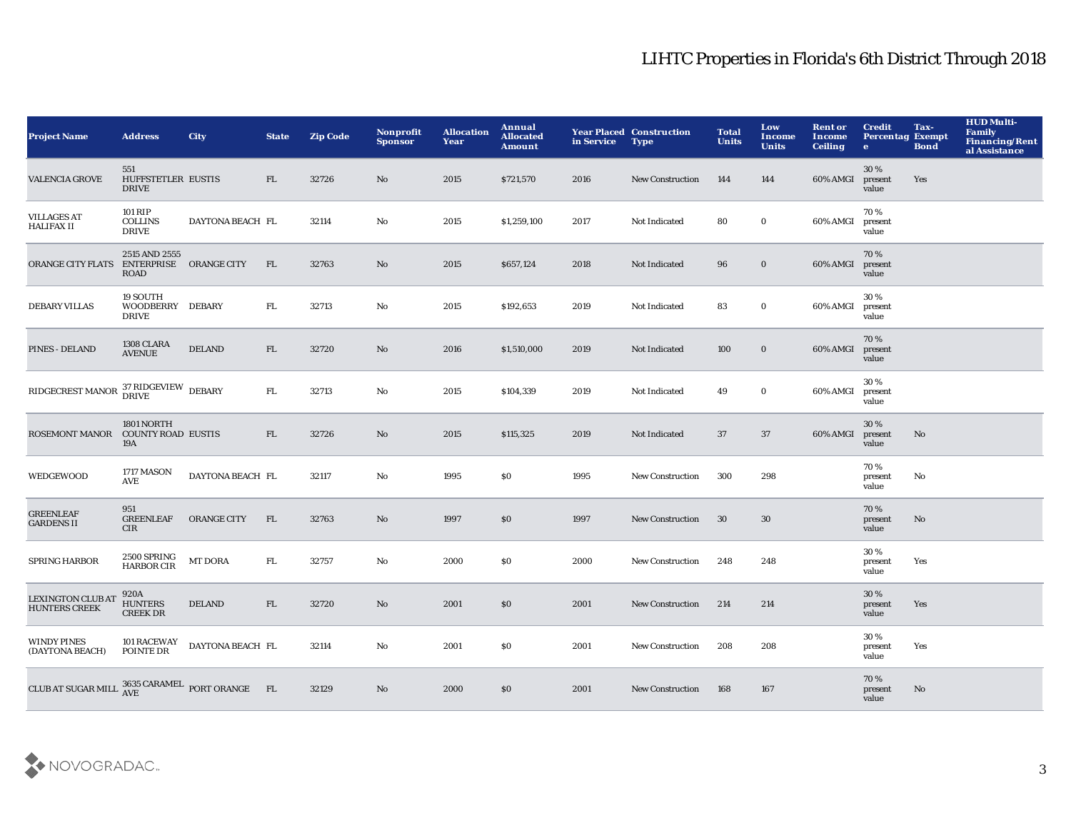| <b>Project Name</b>                                                                                                                | <b>Address</b>                                         | <b>City</b>                                      | <b>State</b> | <b>Zip Code</b> | <b>Nonprofit</b><br><b>Sponsor</b> | <b>Allocation</b><br>Year | Annual<br><b>Allocated</b><br><b>Amount</b> | in Service | <b>Year Placed Construction</b><br><b>Type</b> | <b>Total</b><br><b>Units</b> | Low<br><b>Income</b><br><b>Units</b> | <b>Rent or</b><br><b>Income</b><br><b>Ceiling</b> | <b>Credit</b><br><b>Percentag Exempt</b><br>$\bullet$ | Tax-<br><b>Bond</b> | <b>HUD Multi-</b><br>Family<br><b>Financing/Rent</b><br>al Assistance |
|------------------------------------------------------------------------------------------------------------------------------------|--------------------------------------------------------|--------------------------------------------------|--------------|-----------------|------------------------------------|---------------------------|---------------------------------------------|------------|------------------------------------------------|------------------------------|--------------------------------------|---------------------------------------------------|-------------------------------------------------------|---------------------|-----------------------------------------------------------------------|
| <b>VALENCIA GROVE</b>                                                                                                              | 551<br>HUFFSTETLER EUSTIS<br><b>DRIVE</b>              |                                                  | FL.          | 32726           | No                                 | 2015                      | \$721,570                                   | 2016       | <b>New Construction</b>                        | 144                          | 144                                  | 60% AMGI                                          | 30%<br>present<br>value                               | Yes                 |                                                                       |
| <b>VILLAGES AT</b><br><b>HALIFAX II</b>                                                                                            | 101 RIP<br><b>COLLINS</b><br><b>DRIVE</b>              | DAYTONA BEACH FL                                 |              | 32114           | $\mathbf{No}$                      | 2015                      | \$1,259,100                                 | 2017       | Not Indicated                                  | 80                           | $\bf{0}$                             | 60% AMGI                                          | 70%<br>present<br>value                               |                     |                                                                       |
| <b>ORANGE CITY FLATS</b>                                                                                                           | 2515 AND 2555<br>ENTERPRISE ORANGE CITY<br><b>ROAD</b> |                                                  | FL           | 32763           | No                                 | 2015                      | \$657,124                                   | 2018       | Not Indicated                                  | 96                           | $\bf{0}$                             | 60% AMGI                                          | 70%<br>present<br>value                               |                     |                                                                       |
| <b>DEBARY VILLAS</b>                                                                                                               | 19 SOUTH<br>WOODBERRY DEBARY<br><b>DRIVE</b>           |                                                  | FL.          | 32713           | No                                 | 2015                      | \$192,653                                   | 2019       | Not Indicated                                  | 83                           | $\bf{0}$                             | 60% AMGI                                          | 30%<br>present<br>value                               |                     |                                                                       |
| <b>PINES - DELAND</b>                                                                                                              | 1308 CLARA<br><b>AVENUE</b>                            | <b>DELAND</b>                                    | FL           | 32720           | No                                 | 2016                      | \$1,510,000                                 | 2019       | Not Indicated                                  | 100                          | $\bf{0}$                             | 60% AMGI                                          | 70%<br>present<br>value                               |                     |                                                                       |
| $\begin{array}{lll} \textbf{RIDGECREST MANOR} & \begin{array}{llll} \textbf{37 RIDGEVIEW} \end{array} \textbf{DEBARY} \end{array}$ |                                                        |                                                  | FL.          | 32713           | No                                 | 2015                      | \$104,339                                   | 2019       | Not Indicated                                  | 49                           | $\bf{0}$                             | 60% AMGI                                          | 30%<br>present<br>value                               |                     |                                                                       |
| ROSEMONT MANOR COUNTY ROAD EUSTIS                                                                                                  | <b>1801 NORTH</b><br>19A                               |                                                  | FL           | 32726           | $\mathbf{N}\mathbf{o}$             | 2015                      | \$115,325                                   | 2019       | Not Indicated                                  | 37                           | 37                                   | 60% AMGI                                          | 30 %<br>present<br>value                              | $\mathbf{No}$       |                                                                       |
| <b>WEDGEWOOD</b>                                                                                                                   | 1717 MASON<br><b>AVE</b>                               | DAYTONA BEACH FL                                 |              | 32117           | $\mathbf{No}$                      | 1995                      | \$0                                         | 1995       | <b>New Construction</b>                        | 300                          | 298                                  |                                                   | 70%<br>present<br>value                               | No                  |                                                                       |
| <b>GREENLEAF</b><br><b>GARDENS II</b>                                                                                              | 951<br><b>GREENLEAF</b><br>CIR                         | <b>ORANGE CITY</b>                               | FL           | 32763           | No                                 | 1997                      | \$0                                         | 1997       | <b>New Construction</b>                        | 30                           | 30                                   |                                                   | 70%<br>present<br>value                               | $\mathbf{No}$       |                                                                       |
| <b>SPRING HARBOR</b>                                                                                                               | $2\,500$ SPRING<br><b>HARBOR CIR</b>                   | <b>MT DORA</b>                                   | FL           | 32757           | $\rm No$                           | 2000                      | \$0                                         | 2000       | <b>New Construction</b>                        | 248                          | 248                                  |                                                   | 30%<br>present<br>value                               | Yes                 |                                                                       |
| <b>LEXINGTON CLUB AT</b><br><b>HUNTERS CREEK</b>                                                                                   | 920A<br><b>HUNTERS</b><br><b>CREEK DR</b>              | <b>DELAND</b>                                    | FL           | 32720           | $\mathbf{No}$                      | 2001                      | \$0                                         | 2001       | <b>New Construction</b>                        | 214                          | 214                                  |                                                   | 30%<br>present<br>value                               | Yes                 |                                                                       |
| <b>WINDY PINES</b><br>(DAYTONA BEACH)                                                                                              | <b>101 RACEWAY</b><br>POINTE DR                        | DAYTONA BEACH FL                                 |              | 32114           | No                                 | 2001                      | <b>SO</b>                                   | 2001       | <b>New Construction</b>                        | 208                          | 208                                  |                                                   | 30%<br>present<br>value                               | Yes                 |                                                                       |
| <b>CLUB AT SUGAR MILL</b>                                                                                                          |                                                        | $3635$ CARAMEL $\,$ PORT ORANGE $\,$ FL $\,$ AVE |              | 32129           | $\mathbf{N}\mathbf{o}$             | 2000                      | \$0                                         | 2001       | <b>New Construction</b>                        | 168                          | 167                                  |                                                   | 70%<br>present<br>value                               | No                  |                                                                       |

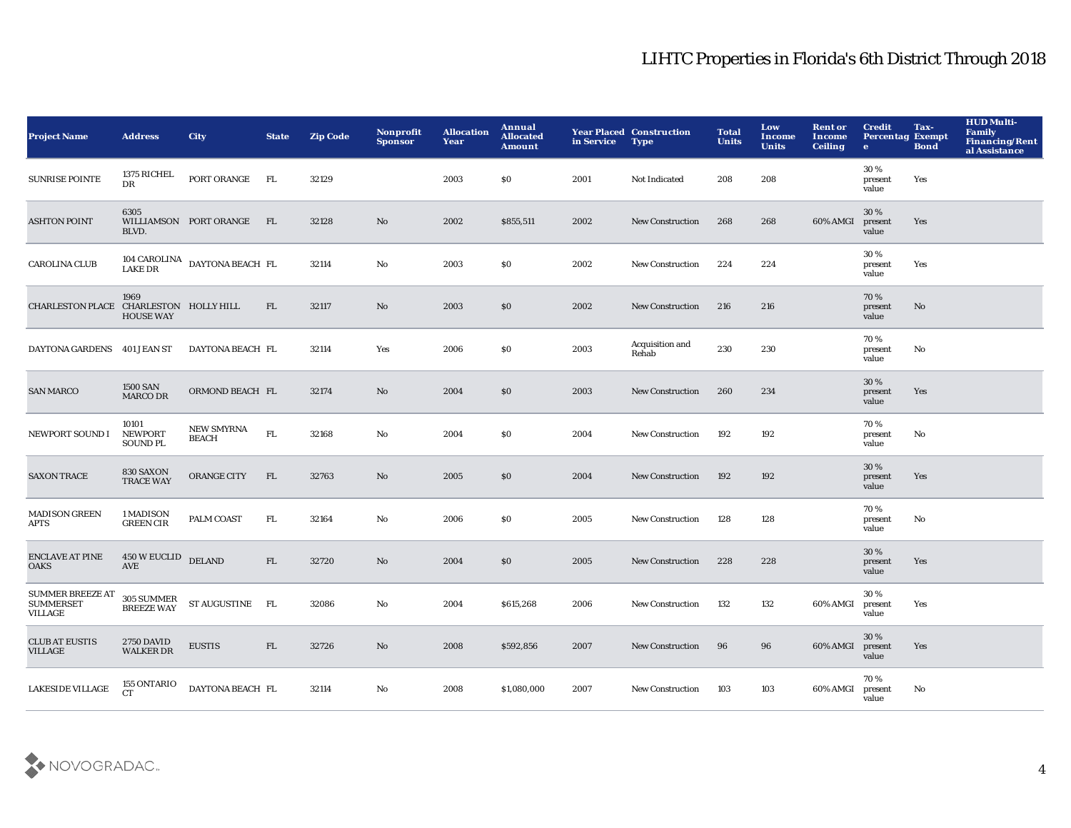| <b>Project Name</b>                                           | <b>Address</b>                             | <b>City</b>                                       | <b>State</b> | <b>Zip Code</b> | Nonprofit<br><b>Sponsor</b> | <b>Allocation</b><br>Year | Annual<br><b>Allocated</b><br><b>Amount</b> | in Service | <b>Year Placed Construction</b><br><b>Type</b> | <b>Total</b><br><b>Units</b> | Low<br>Income<br><b>Units</b> | <b>Rent or</b><br>Income<br><b>Ceiling</b> | <b>Credit</b><br><b>Percentag Exempt</b><br>$\bullet$ | Tax-<br><b>Bond</b> | <b>HUD Multi-</b><br><b>Family</b><br>Financing/Rent<br>al Assistance |
|---------------------------------------------------------------|--------------------------------------------|---------------------------------------------------|--------------|-----------------|-----------------------------|---------------------------|---------------------------------------------|------------|------------------------------------------------|------------------------------|-------------------------------|--------------------------------------------|-------------------------------------------------------|---------------------|-----------------------------------------------------------------------|
| <b>SUNRISE POINTE</b>                                         | 1375 RICHEL<br>DR                          | PORT ORANGE                                       | <b>FL</b>    | 32129           |                             | 2003                      | \$0                                         | 2001       | Not Indicated                                  | 208                          | 208                           |                                            | 30%<br>present<br>value                               | Yes                 |                                                                       |
| <b>ASHTON POINT</b>                                           | 6305<br>BLVD.                              | WILLIAMSON PORT ORANGE                            | FL           | 32128           | $\mathbf{N}\mathbf{o}$      | 2002                      | \$855,511                                   | 2002       | <b>New Construction</b>                        | 268                          | 268                           | 60% AMGI                                   | 30%<br>present<br>value                               | Yes                 |                                                                       |
| <b>CAROLINA CLUB</b>                                          |                                            | $104$ CAROLINA $\;$ DAYTONA BEACH $\;$ FL LAKE DR |              | 32114           | No                          | 2003                      | \$0                                         | 2002       | New Construction                               | 224                          | 224                           |                                            | 30%<br>present<br>value                               | Yes                 |                                                                       |
| CHARLESTON PLACE CHARLESTON HOLLY HILL                        | 1969<br><b>HOUSE WAY</b>                   |                                                   | FL.          | 32117           | $\mathbf{N}\mathbf{o}$      | 2003                      | \$0                                         | 2002       | <b>New Construction</b>                        | 216                          | 216                           |                                            | 70%<br>present<br>value                               | No                  |                                                                       |
| DAYTONA GARDENS 401 JEAN ST                                   |                                            | DAYTONA BEACH FL                                  |              | 32114           | Yes                         | 2006                      | \$0                                         | 2003       | Acquisition and<br>Rehab                       | 230                          | 230                           |                                            | 70%<br>present<br>value                               | No                  |                                                                       |
| <b>SAN MARCO</b>                                              | 1500 SAN<br><b>MARCO DR</b>                | ORMOND BEACH FL                                   |              | 32174           | No                          | 2004                      | \$0                                         | 2003       | <b>New Construction</b>                        | 260                          | 234                           |                                            | 30 %<br>present<br>value                              | Yes                 |                                                                       |
| NEWPORT SOUND I                                               | 10101<br><b>NEWPORT</b><br><b>SOUND PL</b> | <b>NEW SMYRNA</b><br><b>BEACH</b>                 | FL.          | 32168           | No                          | 2004                      | $\$0$                                       | 2004       | <b>New Construction</b>                        | 192                          | 192                           |                                            | 70%<br>present<br>value                               | No                  |                                                                       |
| <b>SAXON TRACE</b>                                            | 830 SAXON<br><b>TRACE WAY</b>              | ORANGE CITY                                       | FL           | 32763           | $\mathbf{N}\mathbf{o}$      | 2005                      | \$0                                         | 2004       | <b>New Construction</b>                        | 192                          | 192                           |                                            | 30%<br>present<br>value                               | Yes                 |                                                                       |
| <b>MADISON GREEN</b><br><b>APTS</b>                           | 1 MADISON<br><b>GREEN CIR</b>              | PALM COAST                                        | FL.          | 32164           | No                          | 2006                      | \$0                                         | 2005       | New Construction                               | 128                          | 128                           |                                            | 70%<br>present<br>value                               | No                  |                                                                       |
| <b>ENCLAVE AT PINE</b><br><b>OAKS</b>                         | <b>450 W EUCLID</b><br>AVE                 | <b>DELAND</b>                                     | FL           | 32720           | No                          | 2004                      | \$0                                         | 2005       | <b>New Construction</b>                        | 228                          | 228                           |                                            | 30 %<br>present<br>value                              | Yes                 |                                                                       |
| <b>SUMMER BREEZE AT</b><br><b>SUMMERSET</b><br><b>VILLAGE</b> | 305 SUMMER<br><b>BREEZE WAY</b>            | ST AUGUSTINE FL                                   |              | 32086           | No                          | 2004                      | \$615,268                                   | 2006       | <b>New Construction</b>                        | 132                          | 132                           | 60% AMGI                                   | 30%<br>present<br>value                               | Yes                 |                                                                       |
| <b>CLUB AT EUSTIS</b><br><b>VILLAGE</b>                       | <b>2750 DAVID</b><br><b>WALKER DR</b>      | <b>EUSTIS</b>                                     | FL.          | 32726           | No                          | 2008                      | \$592,856                                   | 2007       | <b>New Construction</b>                        | 96                           | 96                            | 60% AMGI                                   | 30 %<br>present<br>value                              | Yes                 |                                                                       |
| <b>LAKESIDE VILLAGE</b>                                       | 155 ONTARIO<br>CT.                         | DAYTONA BEACH FL                                  |              | 32114           | No                          | 2008                      | \$1,080,000                                 | 2007       | <b>New Construction</b>                        | 103                          | 103                           | 60% AMGI                                   | 70%<br>present<br>value                               | No                  |                                                                       |